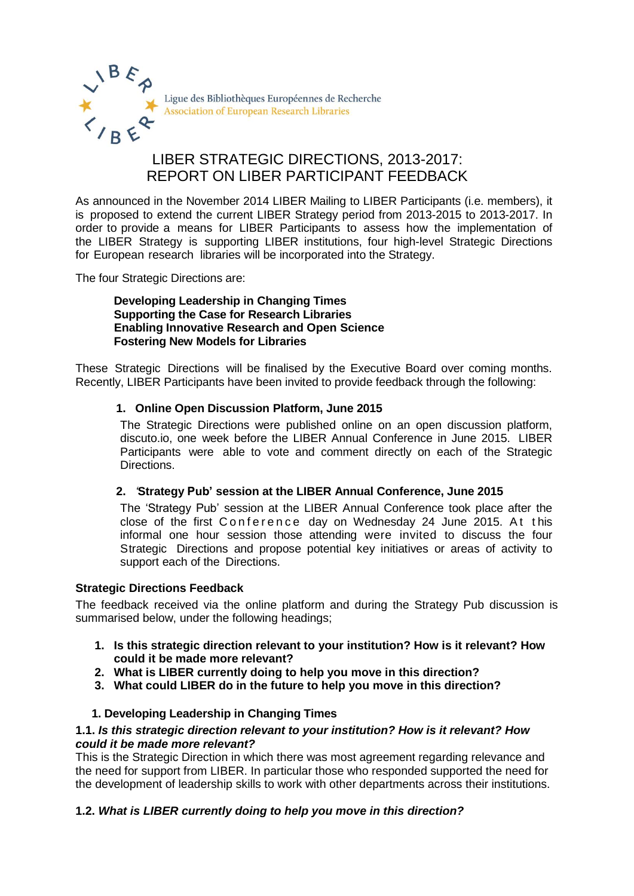

# LIBER STRATEGIC DIRECTIONS, 2013-2017: REPORT ON LIBER PARTICIPANT FEEDBACK

As announced in the November 2014 LIBER Mailing to LIBER Participants (i.e. members), it is proposed to extend the current LIBER Strategy period from 2013-2015 to 2013-2017. In order to provide a means for LIBER Participants to assess how the implementation of the LIBER Strategy is supporting LIBER institutions, four high-level Strategic Directions for European research libraries will be incorporated into the Strategy.

The four Strategic Directions are:

### **Developing Leadership in Changing Times Supporting the Case for Research Libraries Enabling Innovative Research and Open Science Fostering New Models for Libraries**

These Strategic Directions will be finalised by the Executive Board over coming months. Recently, LIBER Participants have been invited to provide feedback through the following:

### **1. Online Open Discussion Platform, June 2015**

The Strategic Directions were published online on an open discussion platform, discuto.io, one week before the LIBER Annual Conference in June 2015. LIBER Participants were able to vote and comment directly on each of the Strategic Directions.

### **2.** *'***Strategy Pub' session at the LIBER Annual Conference, June 2015**

The 'Strategy Pub' session at the LIBER Annual Conference took place after the close of the first Conference day on Wednesday 24 June 2015. At this informal one hour session those attending were invited to discuss the four Strategic Directions and propose potential key initiatives or areas of activity to support each of the Directions.

### **Strategic Directions Feedback**

The feedback received via the online platform and during the Strategy Pub discussion is summarised below, under the following headings;

- **1. Is this strategic direction relevant to your institution? How is it relevant? How could it be made more relevant?**
- **2. What is LIBER currently doing to help you move in this direction?**
- **3. What could LIBER do in the future to help you move in this direction?**

### **1. Developing Leadership in Changing Times**

### **1.1.** *Is this strategic direction relevant to your institution? How is it relevant? How could it be made more relevant?*

This is the Strategic Direction in which there was most agreement regarding relevance and the need for support from LIBER. In particular those who responded supported the need for the development of leadership skills to work with other departments across their institutions.

# **1.2.** *What is LIBER currently doing to help you move in this direction?*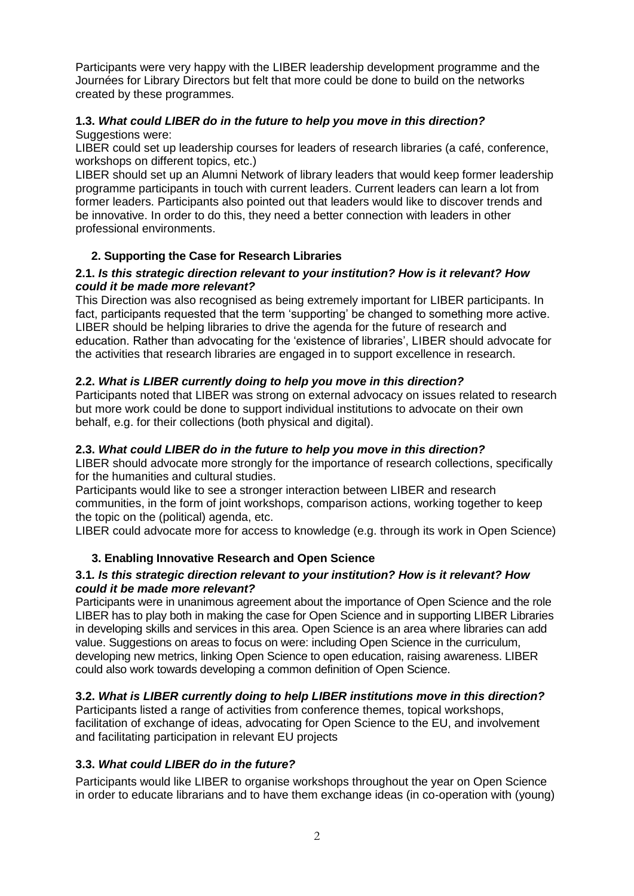Participants were very happy with the LIBER leadership development programme and the Journées for Library Directors but felt that more could be done to build on the networks created by these programmes.

#### **1.3.** *What could LIBER do in the future to help you move in this direction?* Suggestions were:

LIBER could set up leadership courses for leaders of research libraries (a café, conference, workshops on different topics, etc.)

LIBER should set up an Alumni Network of library leaders that would keep former leadership programme participants in touch with current leaders. Current leaders can learn a lot from former leaders. Participants also pointed out that leaders would like to discover trends and be innovative. In order to do this, they need a better connection with leaders in other professional environments.

# **2. Supporting the Case for Research Libraries**

### **2.1.** *Is this strategic direction relevant to your institution? How is it relevant? How could it be made more relevant?*

This Direction was also recognised as being extremely important for LIBER participants. In fact, participants requested that the term 'supporting' be changed to something more active. LIBER should be helping libraries to drive the agenda for the future of research and education. Rather than advocating for the 'existence of libraries', LIBER should advocate for the activities that research libraries are engaged in to support excellence in research.

# **2.2.** *What is LIBER currently doing to help you move in this direction?*

Participants noted that LIBER was strong on external advocacy on issues related to research but more work could be done to support individual institutions to advocate on their own behalf, e.g. for their collections (both physical and digital).

# **2.3.** *What could LIBER do in the future to help you move in this direction?*

LIBER should advocate more strongly for the importance of research collections, specifically for the humanities and cultural studies.

Participants would like to see a stronger interaction between LIBER and research communities, in the form of joint workshops, comparison actions, working together to keep the topic on the (political) agenda, etc.

LIBER could advocate more for access to knowledge (e.g. through its work in Open Science)

# **3. Enabling Innovative Research and Open Science**

### **3.1***. Is this strategic direction relevant to your institution? How is it relevant? How could it be made more relevant?*

Participants were in unanimous agreement about the importance of Open Science and the role LIBER has to play both in making the case for Open Science and in supporting LIBER Libraries in developing skills and services in this area. Open Science is an area where libraries can add value. Suggestions on areas to focus on were: including Open Science in the curriculum, developing new metrics, linking Open Science to open education, raising awareness. LIBER could also work towards developing a common definition of Open Science.

# **3.2.** *What is LIBER currently doing to help LIBER institutions move in this direction?*

Participants listed a range of activities from conference themes, topical workshops, facilitation of exchange of ideas, advocating for Open Science to the EU, and involvement and facilitating participation in relevant EU projects

# **3.3.** *What could LIBER do in the future?*

Participants would like LIBER to organise workshops throughout the year on Open Science in order to educate librarians and to have them exchange ideas (in co-operation with (young)